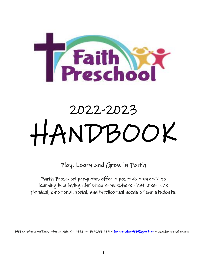

# 2022-2023 HANDBOOK

Play, Learn and Grow in Faith

Faith Preschool programs offer a positive approach to learning in a loving Christian atmosphere that meet the physical, emotional, social, and intellectual needs of our students.

5555 Chambersburg Road, Huber Heights, OH 45424 ~ 937-233-4771 ~ <u>faithpreschool5555@gmail.com</u> ~ www.faithpreschool.com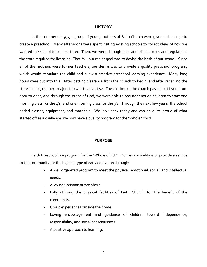#### **HISTORY**

In the summer of 1977, a group of young mothers of Faith Church were given a challenge to create a preschool. Many afternoons were spent visiting existing schools to collect ideas of how we wanted the school to be structured. Then, we went through piles and piles of rules and regulations the state required for licensing. That fall, our major goal was to devise the basis of our school. Since all of the mothers were former teachers, our desire was to provide a quality preschool program, which would stimulate the child and allow a creative preschool learning experience. Many long hours were put into this. After getting clearance from the church to begin, and after receiving the state license, our next major step was to advertise. The children of the church passed out flyers from door to door, and through the grace of God, we were able to register enough children to start one morning class for the 4's, and one morning class for the 3's. Through the next few years, the school added classes, equipment, and materials. We look back today and can be quite proud of what started off as a challenge: we now have a quality program for the "Whole" child.

#### **PURPOSE**

Faith Preschool is a program for the "Whole Child." Our responsibility is to provide a service to the community for the highest type of early education through:

- A well organized program to meet the physical, emotional, social, and intellectual needs.
- A loving Christian atmosphere.
- Fully utilizing the physical facilities of Faith Church, for the benefit of the community.
- Group experiences outside the home.
- Loving encouragement and guidance of children toward independence, responsibility, and social consciousness.
- A positive approach to learning.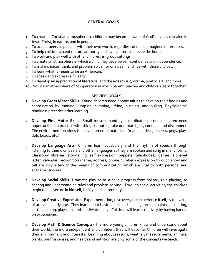# **GENERAL GOALS**

- 1. To create a Christian atmosphere so children may become aware of God's love as revealed in Jesus Christ, in nature, and in people.
- 2. To accept peers as persons with their own worth, regardless of real or imagined differences.
- 3. To help children accept mature authority and loving interest outside the home.
- 4. To work and play well with other children, in-group settings.
- 5. To create an atmosphere in which a child may develop self-confidence and independence.
- 6. To make choices, think, and problem solve, for one's self, and live with those choices.
- 7. To learn what it means to be an American.
- 8. To speak and express self clearly.
- 9. To develop an appreciation of literature, and the arts (music, drama, poetry, art, and more).
- 10. Provide an atmosphere of co-operation in which parent, teacher and child can learn together.

## **SPECIFIC GOALS**

- 1. **Develop Gross Motor Skills** Young children need opportunities to develop their bodies and coordination by running, jumping, climbing, lifting, pushing, and pulling. Physiological readiness precedes other learning.
- 2. **Develop Fine Motor Skills** Small muscle, hand-eye coordination. Young children need opportunities to practice with things to put in, take out, match, fit, connect, and disconnect. The environment provides the developmental materials- (manipulatives, puzzles, pegs, playdoh, beads, etc.)
- 3. **Develop Language Arts** Children learn vocabulary and the rhythm of speech through listening to their own peers and other languages as they are spoken and sung in many forms. Classroom libraries, storytelling, self expression (puppets, telephones), games, alphabet letter, calendar, recognition (name, address, phone number,) expression through show and tell are only a few of the means of communication which are vital to both personal and academic success.
- 4. **Develop Social Skills** Dramatic play helps a child progress from solitary role-playing, to sharing and understanding rules and problem-solving. Through social activities, the children begin to feel secure in himself, family, and community.
- 5. **Develop Creative Expression** Experimentation, discovery, the experience itself, is the value of arts at an early age. They learn about basic colors, and shapes, through painting, coloring, cutting, gluing, play-doh, and sand/water play. Children will learn creativity by having handson experiences.
- 6. **Develop Math & Science Concepts-** The more young children know and understand about their world, the more independent and confident they will become. Children will investigate their environment and interests. Learning about seasons, weather, measurements, animals, plants, our five senses, and health and nutrition are only some of the concepts we teach.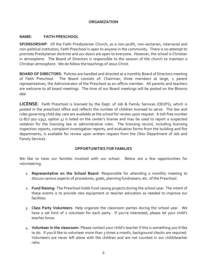#### **ORGANIZATION**

#### **NAME: FAITH PRESCHOOL**

**SPONSORSHIP**: Of the Faith Presbyterian Church, as a non-profit, non-sectarian, interracial and non-political institution, Faith Preschool is open to anyone in the community. There is no attempt to promote Presbyterian doctrine and our doors are open to everyone. However, the school is Christian in atmosphere. The Board of Directors is responsible to the session of the church to maintain a Christian atmosphere. We do follow the teachings of Jesus Christ.

**BOARD OF DIRECTORS**: Policies are handled and directed at a monthly Board of Directors meeting of Faith Preschool. The Board consists of: Chairman, three members at large, 2 parent representatives, the Administrator of the Preschool as ex-officio member. All parents and teachers are welcome to all board meetings. The time of our Board meetings will be posted on the Bloomz app.

**LICENSE**: Faith Preschool is licensed by the Dept. of Job & Family Services (ODJFS), which is posted in the preschool office and reflects the number of children licensed to serve. The law and rules governing child day care are available at the school for review upon request. A toll-free number  $(1-877-302-2347,$  option 4) is listed on the center's license and may be used to report a suspected violation for the licensing law or administrative rules. The licensing record, including licensing inspection reports, complaint investigation reports, and evaluation forms from the building and fire departments, is available for review upon written request from the Ohio Department of Job and Family Services.

## **OPPORTUNITIES FOR FAMILIES**

We like to have our families involved with our school. Below are a few opportunities for volunteering.

- 1. **Representative on the School Board** Responsible for attending a monthly meeting to discuss various aspects of procedures, goals, planning fundraisers, etc. of the Preschool.
- 2. **Fund Raising** The Preschool holds fund raising projects during the school year. The intent of these events is to provide new equipment or teacher education as needed to improve our facilities.
- 3. **Class Party Volunteers** Help organize the classroom parties during the school year. We have a set limit of 2 volunteer for each party. If you're interested, please let your child's teacher know.
- 4. **Volunteer in the classroom** Please contact your child's teacher if this is something you'd like to do. If you'd like to volunteer more than 3 times a month, background checks are required. Volunteers are never left alone with the children and are not counted in our child/teacher ratio.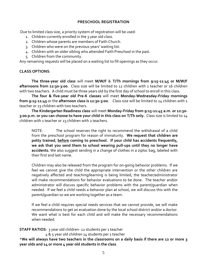#### **PRESCHOOL REGISTRATION**

Due to limited class size, a priority system of registration will be used:

- 1. Children currently enrolled in the 3 year old class.
- 2. Children whose parents are members of Faith Church.
- 3. Children who were on the previous years' waiting list.
- 4. Children with an older sibling who attended Faith Preschool in the past.
- 5. Children from the community.

Any remaining requests will be placed on a waiting list to fill openings as they occur.

# **CLASS OPTIONS**:

**The three-year old class** will meet **M/W/F** & **T/Th mornings from 9:15-11:45 or M/W/F afternoons from 12:30-3:00**. Class size will be limited to 12 children with 1 teacher or 16 children with two teachers. A child must be three years old by the first day of school to enroll in this class.

**The four & five-year old Pre-K classes** will meet **Monday-Wednesday-Friday mornings from 9:15-11:45** or the **afternoon class is 12:30-3:00**. Class size will be limited to 14 children with 1 teacher or 23 children with two teachers.

**The Kindergarten Readiness class** will meet **Monday-Friday from 9:15-11:45 a.m. or 12:30- 3:00 p.m. or you can choose to have your child in this class on T/Th only.** Class size is limited to 14 children with 1 teacher or 23 children with 2 teachers.

NOTE: The school reserves the right to recommend the withdrawal of a child from the preschool program for reason of immaturity. **We request that children are potty trained**, **before coming to preschool. If your child has accidents frequently, we ask that you send them to school wearing pull-ups until they no longer have accidents.** We also suggest sending in a change of clothes in a ziploc bag, labeled with their first and last name.

Children may also be released from the program for on-going behavior problems. If we feel we cannot give the child the appropriate intervention or the other children are negatively affected and teaching/learning is being limited, the teacher/administrator will make recommendations for behavior evaluations to be done. The teacher and/or administrator will discuss specific behavior problems with the parent/guardian when needed. If we feel a child needs a behavior plan at school, we will discuss this with the parent/guardian so we are working together as a team.

If we feel a child requires special needs services that we cannot provide, we will make recommendations to get an evaluation done by the local school district and/or a doctor. We want what is best for each child and will make the necessary recommendations when needed.

**STAFF RATIOS:** 3 year old children-12 students per 1 teacher

4 & 5 year old children 14 students per 1 teacher

\***We will always have two teachers in the classrooms on a daily basis if there are 12 or more 3 year olds and 14 or more 4 year old students in the class**.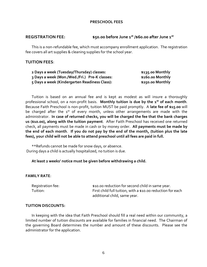#### **PRESCHOOL FEES**

#### **REGISTRATION FEE: \$50.00 before June 1st /\$60.00 after June 1st**

This is a non-refundable fee, which must accompany enrollment application. The registration fee covers all art supplies & cleaning supplies for the school year.

#### **TUITION FEES**:

| 2 Days a week (Tuesday/Thursday) classes:     | \$135.00 Monthly |
|-----------------------------------------------|------------------|
| 3 Days a week (Mon./Wed./Fri.) Pre-K classes: | \$160.00 Monthly |
| 5 Days a week (Kindergarten Readiness Class): | \$250.00 Monthly |

Tuition is based on an annual fee and is kept as modest as will insure a thoroughly professional school, on a non-profit basis. **Monthly tuition is due by the 1 st of each month**. Because Faith Preschool is non-profit, tuition MUST be paid promptly. A **late fee of \$15.00** will be charged after the 1<sup>st</sup> of every month, unless other arrangements are made with the administrator. **In case of returned checks, you will be charged the fee that the bank charges us (\$10.00), along with the tuition payment**. After Faith Preschool has received one returned check, all payments must be made in cash or by money order. **All payments must be made by the end of each month**. **If you do not pay by the end of the month, (tuition plus the late fees), your child will not be able to attend preschool until all fees are paid in full.**

\*\*Refunds cannot be made for snow days, or absence. During days a child is actually hospitalized, no tuition is due.

#### **At least 2 weeks' notice must be given before withdrawing a child.**

#### **FAMILY RATE**:

| Registration fee: | \$10.00 reduction for second child in same year.            |
|-------------------|-------------------------------------------------------------|
| Tuition:          | First child full tuition, with a \$10.00 reduction for each |
|                   | additional child, same year.                                |

#### **TUITION DISCOUNTS:**

In keeping with the idea that Faith Preschool should fill a real need within our community, a limited number of tuition discounts are available for families in financial need. The Chairman of the governing Board determines the number and amount of these discounts. Please see the administrator for the application.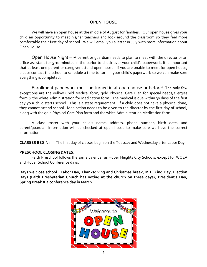# **OPEN HOUSE**

We will have an open house at the middle of August for families. Our open house gives your child an opportunity to meet his/her teachers and look around the classroom so they feel more comfortable their first day of school. We will email you a letter in July with more information about Open House.

Open House Night----A parent or guardian needs to plan to meet with the director or an office assistant for 5-10 minutes in the parlor to check over your child's paperwork. It is important that at least one parent or caregiver attend open house. If you are unable to meet for open house, please contact the school to schedule a time to turn in your child's paperwork so we can make sure everything is completed.

Enrollment paperwork must be turned in at open house or before! The only few exceptions are the yellow Child Medical form, gold Physical Care Plan for special needs/allergies form & the white Administration for Medication form. The medical is due within 30 days of the first day your child starts school. This is a state requirement. If a child does not have a physical done, they cannot attend school. Medication needs to be given to the director by the first day of school, along with the gold Physical Care Plan form and the white Administration Medication form.

A class roster with your child's name, address, phone number, birth date, and parent/guardian information will be checked at open house to make sure we have the correct information.

**CLASSES BEGIN:** The first day of classes begin on the Tuesday and Wednesday after Labor Day.

## **PRESCHOOL CLOSING DATES:**

Faith Preschool follows the same calendar as Huber Heights City Schools, **except** for WOEA and Huber School Conference days.

**Days we close school: Labor Day, Thanksgiving and Christmas break, M.L. King Day, Election Days (Faith Presbyterian Church has voting at the church on these days), President's Day, Spring Break & a conference day in March.**

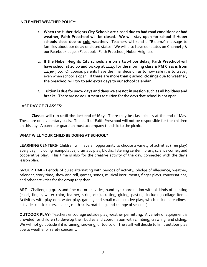#### **INCLEMENT WEATHER POLICY:**

- 1. **When the Huber Heights City Schools are closed due to bad road conditions or bad weather, Faith Preschool will be closed**. **We will stay open for school if Huber schools close due to cold weather.** Teachers will send a "Bloomz" message to families about our delay or closed status. We will also have our status on Channel 7 & our Facebook page. (Facebook--Faith Preschool, Huber Heights).
- 2. **If the Huber Heights City schools are on a two-hour delay, Faith Preschool will have school at 10:00 and pickup at 11:45 for the morning class & PM Class is from 12:30-3:00**. Of course, parents have the final decision as to how safe it is to travel, even when school is open. **If there are more than 5 school closings due to weather, the preschool will try to add extra days to our school calendar.**
- 3. **Tuition is due for snow days and days we are not in session such as all holidays and breaks.** There are no adjustments to tuition for the days that school is not open.

## **LAST DAY OF CLASSES:**

**Classes will run until the last end of May**. There may be class picnics at the end of May. These are on a voluntary basis. The staff of Faith Preschool will not be responsible for the children on this day. A parent or guardian must accompany the child to the picnic.

## **WHAT WILL YOUR CHILD BE DOING AT SCHOOL?**

**LEARNING CENTERS-** Children will have an opportunity to choose a variety of activities (free play) every day, including manipulative, dramatic play, blocks, listening center, library, science corner, and cooperative play. This time is also for the creative activity of the day, connected with the day's lesson plan.

**GROUP TIME**- Periods of quiet alternating with periods of activity, pledge of allegiance, weather, calendar, story time, show and tell, games, songs, musical instruments, finger plays, conversations, and other activities for the group together.

**ART** - Challenging gross and fine motor activities, hand-eye coordination with all kinds of painting (easel, finger, water color, feather, string etc.), cutting, gluing, pasting, including collage items. Activities with play-doh, water play, games, and small manipulative play, which includes readiness activities (basic colors, shapes, math skills, matching, and change of seasons).

**OUTDOOR PLAY**- Teachers encourage outside play, weather permitting. A variety of equipment is provided for children to develop their bodies and coordination with climbing, crawling, and sliding. We will not go outside if it is raining, snowing, or too cold. The staff will decide to limit outdoor play due to weather or safety concerns.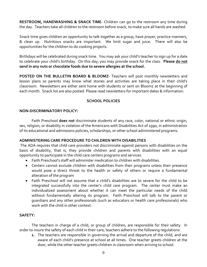**RESTROOM, HANDWASHING & SNACK TIME**- Children can go to the restroom any time during the day. Teachers take all children to the restroom before snack, to make sure all hands are washed.

Snack time gives children an opportunity to talk together as a group, have prayer, practice manners, & clean up. Nutritious snacks are important. We limit sugar and juice. There will also be opportunities for the children to do cooking projects.

Birthdays will be celebrated during snack time. You may ask your child's teacher to sign up for a date to celebrate your child's birthday. On this day, you may provide snack for the class. **Please do not send in any nuts or chocolate foods due to severe allergies at the school.**

**POSTED ON THE BULLETIN BOARD & BLOOMZ**- Teachers will post monthly newsletters and lesson plans so parents may know what stories and activities are taking place in their child's classroom. Newsletters are either sent home with students or sent on Bloomz at the beginning of each month. Snack list are also posted. Please read newsletters for important dates & information.

# **SCHOOL POLICIES**

## **NON-DISCRIMINATORY POLICY:**

Faith Preschool **does not** discriminate students of any race, color, national or ethnic origin, sex, religion, or disability in violation of the Americans with Disabilities Act of 1990, in administration of its educational and admissions policies, scholarships, or other school administered programs.

## **ADMINISTERING CARE PROCEDURE TO CHILDREN WITH DISABILITIES**

The ADA requires that child care providers not discriminate against persons with disabilities on the basis of disability, that is, they provide children and parents with disabilities with an equal opportunity to participate in the child care centers programs and services.

- Faith Preschool's staff will administer medication to children with disabilities.
- Centers cannot exclude children with disabilities from their programs unless their presence would pose a direct threat to the health or safety of others or require a fundamental alteration of the program
- Faith Preschool will not assume that a child's disabilities are to severe for the child to be integrated successfully into the center's child care program. The center must make an individualized assessment about whether it can meet the particular needs of the child without fundamentally altering its program. Faith Preschool will talk to the parent or guardians and any other professionals (such as educators or health care professionals) who work with the child in other context.

## **SAFETY:**

The teachers in charge of a child, or group of children, are responsible for their safety. In order to insure the safety of each child in their care, teachers adhere to the following regulations:

**1.** The teachers are responsible in governing the arrival and departure of the child, and are aware of each child's presence at school at all times. One teacher greets children at the door, while the other teacher greets children in classroom when arriving to school.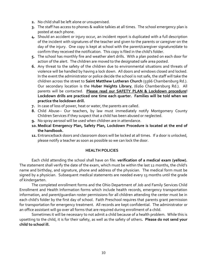- **2.** No child shall be left alone or unsupervised.
- **3.** The staff has access to phones & walkie talkies at all times. The school emergency plan is posted at each phone.
- **4.** Should an accident or injury occur, an incident report is duplicated with a full description of the incident with signatures of the teacher and given to the parents or caregiver on the day of the injury. One copy is kept at school with the parent/caregiver signature/date to confirm they received the notification. This copy is filed in the child's folder.
- **5.** The school has monthly fire and weather alert drills. With a plan posted on each door for action of the alert. The children are moved to the designated safe area posted.
- **6.** Any threat to the safety of the children due to environmental situations and threats of violence will be handled by having a lock down. All doors and windows closed and locked. In the event the administrator or police decide the school is not safe, the staff will take the children across the street to **Saint Matthew Lutheran Church** (5566 Chambersburg Rd.). Our secondary location is the **Huber Heights Library**, (6160 Chambersburg Rd.). All parents will be contacted. **Please read our SAFETY PLAN & Lockdown procedure! Lockdown drills are practiced one time each quarter. Families will be told when we practice the lockdown drill.**
- **7.** In case of loss of power, heat or water, the parents are called.
- **8.** Child Abuse-- Our teachers, by law must immediately notify Montgomery County Children Services if they suspect that a child has been abused or neglected.
- **9.** No spray aerosol will be used when children are in attendance.
- **10. Medical Emergency Plan, Safety Plan, Lockdown Procedure is located at the end of the handbook.**
- **11.** Entrance/back doors and classroom doors will be locked at all times. If a door is unlocked, please notify a teacher as soon as possible so we can lock the door.

# **HEALTH POLICIES**

Each child attending the school shall have on file: **verification of a medical exam (yellow).** The statement shall verify the date of the exam, which must be within the last 12 months, the child's name and birthday, and signature, phone and address of the physician. The medical form must be signed by a physician. Subsequent medical statements are needed every 13 months until the grade of kindergarten.

The completed enrollment forms and the Ohio Department of Job and Family Services Child Enrollment and Health Information forms which include health records, emergency transportation information, and parent/guardian roster permissions for all children attending the center must be in each child's folder by the first day of school. Faith Preschool requires that parents grant permission for transportation for emergency treatment. All records are kept confidential. The administrator or an office assistant will go over all forms that are required during enrollment of a child.

Sometimes it will be necessary to not admit a child because of a health problem. While this is upsetting to the child, it is for their safety, as well as the safety of others**. Please do not send your child to school ill.**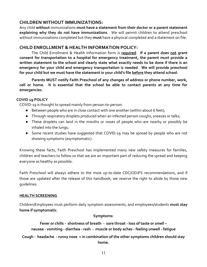# **CHILDREN WITHOUT IMMUNIZATIONS:**

Any child **without** immunizations **must have a statement from their doctor or a parent statement explaining why they do not have immunizations**. We will permit children to attend preschool without immunizations completed but they **must** have a physical completed and a statement on file.

# **CHILD ENROLLMENT & HEALTH INFORMATION POLICY:**

The Child Enrollment & Health Information form is **required**. **If a parent does not grant consent for transportation to a hospital for emergency treatment, the parent must provide a written statement to the school and clearly state what exactly needs to be done if there is an emergency for your child and emergency transportation is needed**. **We will provide preschool for your child but we must have the statement in your child's file before they attend school.**

**Parents MUST notify Faith Preschool of any changes of address or phone number, work, cell or home. It is essential that the school be able to contact parents at any time for emergencies**.

# **COVID 19 POLICY**

COVID-19 is thought to spread mainly from person-to-person:

- Between people who are in close contact with one another (within about 6 feet);
- Through respiratory droplets produced when an infected person coughs, sneezes or talks;
- These droplets can land in the mouths or noses of people who are nearby or possibly be inhaled into the lungs;
- Some recent studies have suggested that COVID-19 may be spread by people who are not showing symptoms (asymptomatic).

Knowing these facts, Faith Preschool has implemented many new safety measures for families, children and teachers to follow so that we are an important part of reducing the spread and keeping everyone as healthy as possible.

Faith Preschool will always adhere to the most up-to-date CDC/ODJFS recommendations, and if those are updated after the release of this handbook, we reserve the right to abide by those new guidelines.

# **HEALTH SCREENING**

Children/Employees must perform daily symptom assessments, and employees/students **must stay home if symptomatic**.

## **Symptoms:**

**Fever or chills - shortness of breath - sore throat - loss of taste or smell – nausea - vomiting - diarrhea - rash - muscle or body aches - feeling unwell - fatigue**

**Cough - headache - runny nose = in combination of the other symptoms children should stay home.**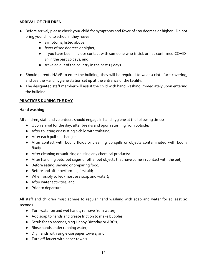# **ARRIVAL OF CHILDREN**

- Before arrival, please check your child for symptoms and fever of 100 degrees or higher. Do not bring your child to school if they have:
	- symptoms; listed above.
	- fever of 100 degrees or higher;
	- if you have been in close contact with someone who is sick or has confirmed COVID-19 in the past 10 days; and
	- traveled out of the country in the past 14 days.
- Should parents HAVE to enter the building, they will be required to wear a cloth face covering, and use the Hand hygiene station set up at the entrance of the facility.
- The designated staff member will assist the child with hand washing immediately upon entering the building.

# **PRACTICES DURING THE DAY**

## **Hand washing**

All children, staff and volunteers should engage in hand hygiene at the following times:

- Upon arrival for the day, after breaks and upon returning from outside;
- After toileting or assisting a child with toileting;
- After each pull-up change;
- After contact with bodily fluids or cleaning up spills or objects contaminated with bodily fluids;
- After cleaning or sanitizing or using any chemical products;
- After handling pets, pet cages or other pet objects that have come in contact with the pet;
- Before eating, serving or preparing food;
- Before and after performing first aid;
- When visibly soiled (must use soap and water);
- After water activities; and
- Prior to departure.

All staff and children must adhere to regular hand washing with soap and water for at least 20 seconds.

- Turn water on and wet hands, remove from water;
- Add soap to hands and create friction to make bubbles;
- Scrub for 20 seconds, sing Happy Birthday or ABC's;
- Rinse hands under running water;
- Dry hands with single use paper towels; and
- Turn off faucet with paper towels.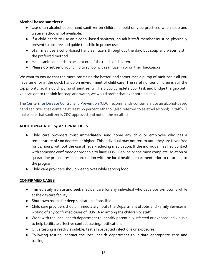# **Alcohol-based sanitizers:**

- Use of an alcohol-based hand sanitizer on children should only be practiced when soap and water method is not available.
- If a child needs to use an alcohol-based sanitizer, an adult/staff member must be physically present to observe and guide the child in proper use.
- Staff may use alcohol-based hand sanitizers throughout the day, but soap and water is still the preferred method.
- Hand sanitizer needs to be kept out of the reach of children.
- Please **do not** send your child to school with sanitizer in or on their backpacks.

We want to ensure that the more sanitizing the better, and sometimes a pump of sanitizer is all you have time for in the quick hands-on environment of child care. The safety of our children is still the top priority, so if a quick pump of sanitizer will help you complete your task and bridge the gap until you can get to the sink for soap and water, we would prefer that over nothing at all.

The [Centers for Disease Control and Prevention](about:blank) (CDC) recommends consumers use an alcohol-based hand sanitizer that contains at least 60 percent ethanol (also referred to as ethyl alcohol). Staff will make sure that sanitizer is CDC approved and not on the recall list.

# **ADDITIONAL RULES/BEST PRACTICES**

- Child care providers must immediately send home any child or employee who has a temperature of 100 degrees or higher. This individual may not return until they are fever free for 24 hours, without the use of fever-reducing medication. If the individual has had contact with someone confirmed or probable to have COVID-19, he or she must complete isolation or quarantine procedures in coordination with the local health department prior to returning to the program.
- Child care providers should wear gloves while serving food.

# **CONFIRMED CASES**

- Immediately isolate and seek medical care for any individual who develops symptoms while at the daycare facility.
- Shutdown rooms for deep sanitation, if possible.
- Child care providers should immediately notify the Department of Jobs and Family Services in writing of any confirmed cases of COVID-19 among the children or staff.
- Work with the local health department to identify potentially infected or exposed individuals to help facilitate effective contact tracing/notifications.
- Once testing is readily available, test all suspected infections or exposures.
- Following testing, contact the local health department to initiate appropriate care and tracing.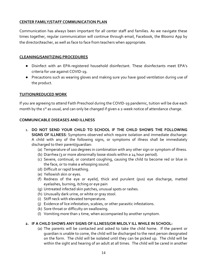# **CENTER FAMILY/STAFF COMMUNICATION PLAN**

Communication has always been important for all center staff and families. As we navigate these times together, regular communication will continue through email, Facebook, the Bloomz App by the director/teacher, as well as face to face from teachers when appropriate.

## **CLEANING/SANITIZING PROCEDURES**

- Disinfect with an EPA-registered household disinfectant. These disinfectants meet EPA's criteria for use against COVID-19.
- Precautions such as wearing gloves and making sure you have good ventilation during use of the product.

# **TUITION/REDUCED WORK**

If you are agreeing to attend Faith Preschool during the COVID-19 pandemic, tuition will be due each month by the 1st as usual, and can only be changed if given a 2-week notice of attendance change.

# **COMMUNICABLE DISEASES AND ILLNESS**

- 1. **DO NOT SEND YOUR CHILD TO SCHOOL IF THE CHILD SHOWS THE FOLLOWING SIGNS OF ILLNESS**: Symptoms observed which require isolation and immediate discharge: A child with any of the following signs, or symptoms of illness shall be immediately discharged to their parent/guardian:
	- (a) Temperature of 100 degrees in combination with any other sign or symptom of illness.
	- (b) Diarrhea (3 or more abnormally loose stools within a 24 hour period).
	- (c) Severe, continual, or constant coughing, causing the child to become red or blue in the face, or to make a whooping sound.
	- (d) Difficult or rapid breathing.
	- (e) Yellowish skin or eyes.
	- (f) Redness of the eye or eyelid, thick and purulent (pus) eye discharge, matted eyelashes, burning, itching or eye pain
	- (g) Untreated infected skin patches, unusual spots or rashes.
	- (h) Unusually dark urine, or white or gray stool.
	- (i) Stiff neck with elevated temperature.
	- (j) Evidence of lice infestation, scabies, or other parasitic infestations.
	- (k) Sore throat or difficulty on swallowing.
	- (l) Vomiting more than 1 time, when accompanied by another symptom.

# **2. IF A CHILD SHOWS ANY SIGNS OF ILLNESS/OR MILDLY ILL WHILE IN SCHOOL:**

(a) The parents will be contacted and asked to take the child home. If the parent or guardian is unable to come, the child will be discharged to the next person designated on the form. The child will be isolated until they can be picked up. The child will be within the sight and hearing of an adult at all times. The child will be cared in another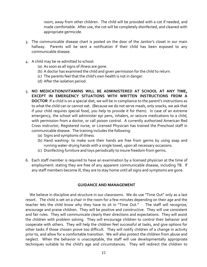room, away from other children. The child will be provided with a cot if needed, and made comfortable. After use, the cot will be completely disinfected, and cleaned with appropriate germicide.

- 3. The communicable disease chart is posted on the door of the Janitor's closet in our main hallway. Parents will be sent a notification if their child has been exposed to any communicable disease.
- 4. A child may be re-admitted to school:
	- (a) As soon as all signs of illness are gone.
	- (b) A doctor has examined the child and given permission for the child to return.
	- (c) The parents feel that the child's own health is not in danger.
	- (d) After the isolation period.
- 5. **NO MEDICATION/VITAMINS WILL BE ADMINISTERED AT SCHOOL AT ANY TIME, EXCEPT IN EMERGENCY SITUATIONS WITH WRITTEN INSTRUCTIONS FROM A DOCTOR**: If a child is on a special diet, we will be in compliance to the parent's instructions as to what the child can or cannot eat. (Because we do not serve meals, only snacks, we ask that if your child requires special food, you help to provide it for them). In case of an extreme emergency, the school will administer epi pens, inhalers, or seizure medications to a child, with permission from a doctor, or call poison control. A currently authorized American Red Cross instructor, Registered nurse, or Licensed Physician has trained the Preschool staff in communicable disease. The training includes the following:
	- (a) Signs and symptoms of illness.
	- (b) Hand washing- to make sure their hands are free from germs by using soap and running water-drying hands with a single towel, upon all necessary occasions.
	- (c) Disinfecting furniture and toys periodically to insure freedom from germs.
- 6. Each staff member is required to have an examination by a licensed physician at the time of employment: stating they are free of any apparent communicable disease, including TB. If any staff members become ill, they are to stay home until all signs and symptoms are gone.

#### **GUIDANCE AND MANAGEMENT**

We believe in discipline and structure in our classrooms. We do use "Time Out" only as a last resort. The child is set on a chair in the room for a few minutes depending on their age and the teacher lets the child know why they have to sit in "Time Out." The staff will recognize, encourage and praise children. They will be positive and constructive. They will use consistent and fair rules. They will communicate clearly their directions and expectations. They will assist the children with problem solving. They will encourage children to control their behavior and cooperate with others. They will help the children feel successful at tasks, and give options for other tasks if those chosen prove too difficult. They will notify children of a change in activity prior to, and allow for a comfortable transition. We will also protect the children from abuse and neglect. When the behavior is unacceptable, the staff will use developmentally appropriate techniques suitable to the child's age and circumstances. They will redirect the children to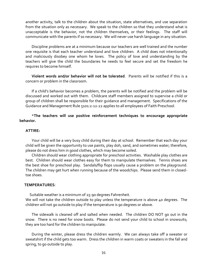another activity, talk to the children about the situation, state alternatives, and use separation from the situation only as necessary. We speak to the children so that they understand what is unacceptable is the behavior, not the children themselves, or their feelings. The staff will communicate with the parents if so necessary. We will never use harsh language in any situation.

Discipline problems are at a minimum because our teachers are well trained and the number one requisite is that each teacher understand and love children. A child does not intentionally and maliciously disobey one whom he loves. The policy of love and understanding by the teachers will give the child the boundaries he needs to feel secure and set the freedom he requires to become himself.

**Violent words and/or behavior will not be tolerated**. Parents will be notified if this is a concern or problem in the classroom.

If a child's behavior becomes a problem, the parents will be notified and the problem will be discussed and worked out with them. Childcare staff members assigned to supervise a child or group of children shall be responsible for their guidance and management. Specifications of the Guidance and Management Rule 5101:2-12-22 applies to all employees of Faith Preschool.

\***The teachers will use positive reinforcement techniques to encourage appropriate behavior.**

#### **ATTIRE:**

Your child will be a very busy child during their day at school. Remember that each day your child will be given the opportunity to use paints, play doh, sand, and sometimes water; therefore, please do not dress him in good clothes, which may become soiled.

Children should wear clothing appropriate for preschool activities. Washable play clothes are best. Children should wear clothes easy for them to manipulate themselves. Tennis shoes are the best shoe for preschool play. Sandals/flip flops usually cause a problem on the playground. The children may get hurt when running because of the woodchips. Please send them in closedtoe shoes.

#### **TEMPERATURES**:

Suitable weather is a minimum of 25-90 degrees Fahrenheit.

We will not take the children outside to play unless the temperature is above 40 degrees. The children will not go outside to play if the temperature is 90 degrees or above.

The sidewalk is cleaned off and salted when needed. The children DO NOT go out in the snow. There is no need for snow boots. Please do not send your child to school in snowsuits; they are too hard for the children to manipulate.

During the winter, please dress the children warmly. We can always take off a sweater or sweatshirt if the child gets too warm. Dress the children in warm coats or sweaters in the fall and spring, to go outside to play.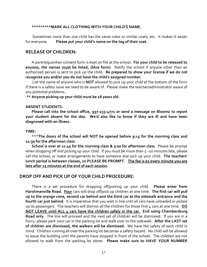#### **\*\*\*\*\*\*\*\*\*MARK ALL CLOTHING WITH YOUR CHILD'S NAME.**

Sometimes more than one child has the same color or similar coats, etc. It makes it easier for everyone. **Please put your child's name on the tag of their coat.**

#### **RELEASE OF CHILDREN:**

A parent/guardian consent form is kept on file at the school**. For your child to be released to anyone, the names must be listed, (blue form)**. Notify the school if anyone other than an authorized person is sent to pick up the child. **Be prepared to show your license if we do not recognize you and/or you do not have the child's assigned number.**

List the name of anyone who is **NOT** allowed to pick up your child at the bottom of the form if there is a safety issue we need to be aware of. Please make the teacher/administrator aware of any potential problems**.**

**\*\* Anyone picking up your child must be 18 years old.** 

#### **ABSENT STUDENTS:**

**Please call into the school office, 937-233-4771 or send a message on Bloomz to report your student absent for the day. We'd also like to know if they are ill and have been diagnosed with an illness.**

#### **TIME:**

\*\*\***The doors of the school will NOT be opened before 9:15 for the morning class and 12:30 for the afternoon class**.

**School is over at 11:45 for the morning class & 3:00 for afternoon class**. Please be prompt when dropping off and picking up your child. If you must be more than 5-10 minutes late, please call the school, or make arrangements to have someone else pick up your child. **The teachers' lunch period is between classes, so PLEASE BE PROMPT. The fee is \$1 every minute you are late after 15 minutes at the end of each session.**

## **DROP OFF AND PICK UP OF YOUR CHILD PROCEDURE:**

There is a set procedure for dropping off/picking up your child. **Please enter from Harshmanville Road. Four** cars will drop off/pick up children at one time. **The first car will pull up to the orange cone, second car behind and the third car at the sidewalk entrance and the fourth car just behind.** It is imperative that you wait in line until all cars have unloaded or picked up its passengers. The teachers will dismiss all the children for those first 4 cars at one time. **DO NOT LEAVE until ALL 4 cars have the children safely in the car. Exit using Chambersburg Road only**. The line will proceed and the next set of children will be dismissed. If you are in a hurry, please park your car in the parking lot and walk over to the sidewalk**. After the LAST set of children are dismissed, the walkers will be dismissed.** We have the safety of each child in mind. Children running all over the parking lot becomes a safety hazard. No child will be allowed to leave the building until the parents have stopped in front of the school. The children are not allowed to walk from the parking lot alone. **Please make sure to HAVE YOUR NUMBER**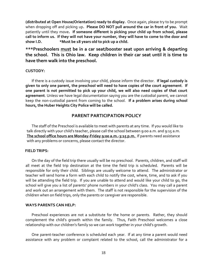**(distributed at Open House/Orientation) ready to display.** Once again, please try to be prompt when dropping off and picking up**. Please DO NOT pull around the car in front of you.** Wait patiently until they move**. If someone different is picking your child up from school, please call to inform us. If they will not have your number, they will have to come to the door and show I.D. \*Must be 18 years old to pick up a child.**

**\*\*\*Preschoolers must be in a car seat/booster seat upon arriving & departing the school. This is Ohio law. Keep children in their car seat until it is time to have them walk into the preschool.** 

#### **CUSTODY:**

If there is a custody issue involving your child, please inform the director. **If legal custody is given to only one parent, the preschool will need to have copies of the court agreement**. **If one parent is not permitted to pick up your child, we will also need copies of that court agreement**. Unless we have legal documentation saying you are the custodial parent, we cannot keep the non-custodial parent from coming to the school. **If a problem arises during school hours, the Huber Heights City Police will be called.**

# **PARENT PARTICIPATION POLICY**

The staff of the Preschool is available to meet with parents at any time. If you would like to talk directly with your child's teacher, please call the school between 9:00 a.m. and 9:15 a.m. **The school office hours are Monday-Friday 9:00 a.m.-3:15 p.m.** If parents need assistance with any problems or concerns, please contact the director.

## **FIELD TRIPS:**

On the day of the field trip there usually will be no preschool. Parents, children, and staff will all meet at the field trip destination at the time the field trip is scheduled. Parents will be responsible for only their child. Siblings are usually welcome to attend. The administrator or teacher will send home a form with each child to notify the cost, where, time, and to ask if you will be attending the field trip. If you are unable to attend and would like your child to go, the school will give you a list of parents' phone numbers in your child's class. You may call a parent and work out an arrangement with them. The staff is not responsible for the supervision of the children when on field trips, only the parents or caregiver are responsible.

#### **WAYS PARENTS CAN HELP:**

Preschool experiences are not a substitute for the home or parents. Rather, they should complement the child's growth within the family. Thus, Faith Preschool welcomes a close relationship with our children's family so we can work together in your child's growth.

One parent-teacher conference is scheduled each year. If at any time a parent would need assistance with any problem or complaint related to the school, call the administrator for a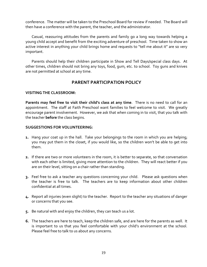conference. The matter will be taken to the Preschool Board for review if needed. The Board will then have a conference with the parent, the teacher, and the administrator.

Casual, reassuring attitudes from the parents and family go a long way towards helping a young child accept and benefit from the exciting adventure of preschool. Time taken to show an active interest in anything your child brings home and requests to "tell me about it" are so very important.

Parents should help their children participate in Show and Tell Days/special class days. At other times, children should not bring any toys, food, gum, etc. to school. Toy guns and knives are not permitted at school at any time.

# **PARENT PARTICIPATION POLICY**

# **VISITING THE CLASSROOM:**

**Parents may feel free to visit their child's class at any time**. There is no need to call for an appointment. The staff at Faith Preschool want families to feel welcome to visit. We greatly encourage parent involvement. However, we ask that when coming in to visit, that you talk with the teacher **before** the class begins.

# **SUGGESTIONS FOR VOLUNTEERING:**

- **1.** Hang your coat up in the hall. Take your belongings to the room in which you are helping; you may put them in the closet, if you would like, so the children won't be able to get into them.
- **2.** If there are two or more volunteers in the room, it is better to separate, so that conversation with each other is limited, giving more attention to the children. They will react better if you are on their level, sitting on a chair rather than standing.
- **3.** Feel free to ask a teacher any questions concerning your child. Please ask questions when the teacher is free to talk. The teachers are to keep information about other children confidential at all times.
- **4.** Report all injuries (even slight) to the teacher. Report to the teacher any situations of danger or concerns that you see.
- **5.** Be natural with and enjoy the children, they can teach us a lot.
- **6.** The teachers are here to teach, keep the children safe, and are here for the parents as well. It is important to us that you feel comfortable with your child's environment at the school. Please feel free to talk to us about any concerns.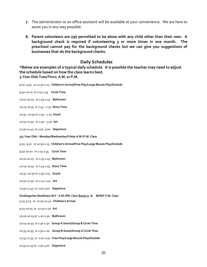- **7.** The administrator or an office assistant will be available at your convenience. We are here to assist you in any way possible.
- **8. Parent volunteers are not permitted to be alone with any child other than their own. A background check is required if volunteering 3 or more times in one month. The preschool cannot pay for the background checks but we can give you suggestions of businesses that do the background checks.**

# **Daily Schedules**

**\*Below are examples of a typical daily schedule. It is possible the teacher may need to adjust the schedule based on how the class learns best. 3-Year Olds Tues/Thurs A.M. or P.M.** 

9:15- 9:50 or 12:30-1:15 **Children's Arrival/Free Play/Large Muscle Play/Outside** 9:50-10:10 or 1:15-1:35 **Circle Time** 10:10-10:25 or 1:35-1:45 **Bathroom** 10:25-10:35 or 1:45 – 1:55 **Story Time** 10:35 –10:50 or 1:55 – 2:15 **Snack** 10:50-11:30 or 2:50 – 3:00 **Art** 11:30-11:45 or 2:50- 3:00 **Departure 3/4-Year Olds - Monday/Wednesday/Friday A.M./P.M. Class**  9:15- 9:50 or 12:30-1:15 **Children's Arrival/Free Play/Large Muscle Play/Outside** 9:50-10:10 or 1:15-1:35 **Circle Time** 10:10-10:25 or 1:35-1:45 **Bathroom** 10:25-10:35 or 1:45-1:55 **Story Time** 10:35 –10:50 or 1:55-2:15 **Snack** 10:50-11:30 or 2:15-2:50 **Art** 11:30-11:45 or 2:50-3:00 **Departure Kindergarten Readiness M-F A.M./PM Class Room 9 & M/W/F P.M. Class**  9:15-9:25 or 12:30-12:40 **Children's Arrival** 9:25-10:05 or 12:40-1:20 **Art** 10:05-10:15 or 1:20-1:30 **Bathroom** 10:15-10:35 or 1:30-1:50 **Group A Snack/Group B Circle Time** 10:35-10:55 or 1:50-2:10 **Group B Snack/Group A Circle Time** 10:55-11:35 or 2:10-2:50 **Free Play/Large Muscle Play/Outside** 11:35-11:45 or 2:50-3:00 **Departure**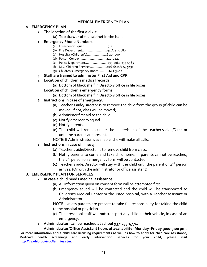## **MEDICAL EMERGENCY PLAN**

# **A. EMERGENCY PLAN**

- **1. The location of the first aid kit**:
	- **(a) Top drawer of file cabinet in the hall.**
- **2. Emergency Phone Numbers:**
	- (a) Emergency Squad……………………..911
	- (b) Fire Department……………………….911/233-2080
	- (c) Hospital (Children's)………………….641-3000
	- (d) Poison Control………………………...222-2227
	- (e) Police Department…………………….233-2080/233-1565
	- (f) M.C. Children Services……………….276-6121/224-5437
	- (g) Children's Emergency Room…………641-3600
- **3. Staff are trained to administer First Aid and CPR**
- **4. Location of children's medical records**:
	- (a) Bottom of black shelf in Directors office in file boxes.
- **5. Location of children's emergency forms**:
	- (a) Bottom of black shelf in Directors office in file boxes.
- **6. Instructions in case of emergency**:
	- (a) Teacher's aide/Director is to remove the child from the group (If child can be moved, if not, class will be moved).
	- (b) Administer first aid to the child.
	- (c) Notify emergency squad.
	- (d) Notify parents.
	- (e) The child will remain under the supervision of the teacher's aide/Director until the parents are present.

NOTE: If Administrator is available, she will make all calls.

# **7. Instructions in case of illness**;

- (a) Teacher's aide/Director is to remove child from class.
- (b) Notify parents to come and take child home. If parents cannot be reached, the 2<sup>nd</sup> person on emergency form will be contacted.
- (c) Teacher's aide/Director will stay with the child until the parent or  $2^{nd}$  person arrives. (Or with the administrator or office assistant).

# **B. EMERGENCY PLAN FOR SERVICES.**

# **1. In case a child needs medical assistance:**

- (a) All information given on consent form will be attempted first.
- (b) Emergency squad will be contacted and the child will be transported to Children's Medical Center or the listed hospital, with a Teacher assistant or Administrator.

**NOTE**: Unless parents are present to take full responsibility for taking the child to the hospital or physician.

- (c) The preschool staff **will not** transport any child in their vehicle, in case of an emergency.
- **2. Administrator: can be reached at school 937-233-4771.**

# **Administrator/Office Assistant hours of availability- Monday–Friday 9:00-3:00 pm.**

**For more information about child care licensing requirements as well as how to apply for child care assistance, Medicaid health screenings and early intervention services for your child, please visit [http://jfs.ohio.gov/cdc/families.stm.](about:blank)**